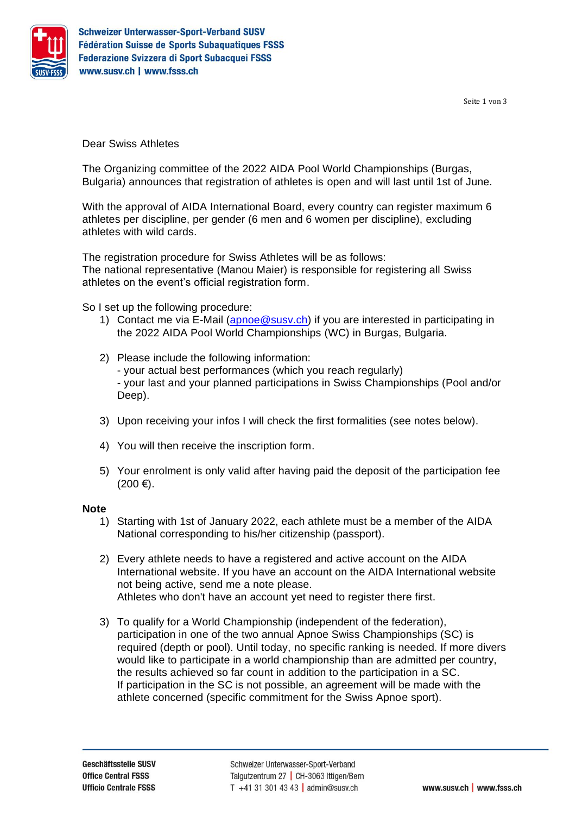

Seite 1 von 3

Dear Swiss Athletes

The Organizing committee of the 2022 AIDA Pool World Championships (Burgas, Bulgaria) announces that registration of athletes is open and will last until 1st of June.

With the approval of AIDA International Board, every country can register maximum 6 athletes per discipline, per gender (6 men and 6 women per discipline), excluding athletes with wild cards.

The registration procedure for Swiss Athletes will be as follows: The national representative (Manou Maier) is responsible for registering all Swiss athletes on the event's official registration form.

So I set up the following procedure:

- 1) Contact me via E-Mail [\(apnoe@susv.ch\)](mailto:apnoe@susv.ch) if you are interested in participating in the 2022 AIDA Pool World Championships (WC) in Burgas, Bulgaria.
- 2) Please include the following information: - your actual best performances (which you reach regularly) - your last and your planned participations in Swiss Championships (Pool and/or Deep).
- 3) Upon receiving your infos I will check the first formalities (see notes below).
- 4) You will then receive the inscription form.
- 5) Your enrolment is only valid after having paid the deposit of the participation fee  $(200 €).$

# **Note**

- 1) Starting with 1st of January 2022, each athlete must be a member of the AIDA National corresponding to his/her citizenship (passport).
- 2) Every athlete needs to have a registered and active account on the AIDA International website. If you have an account on the AIDA International website not being active, send me a note please. Athletes who don't have an account yet need to register there first.
- 3) To qualify for a World Championship (independent of the federation), participation in one of the two annual Apnoe Swiss Championships (SC) is required (depth or pool). Until today, no specific ranking is needed. If more divers would like to participate in a world championship than are admitted per country, the results achieved so far count in addition to the participation in a SC. If participation in the SC is not possible, an agreement will be made with the athlete concerned (specific commitment for the Swiss Apnoe sport).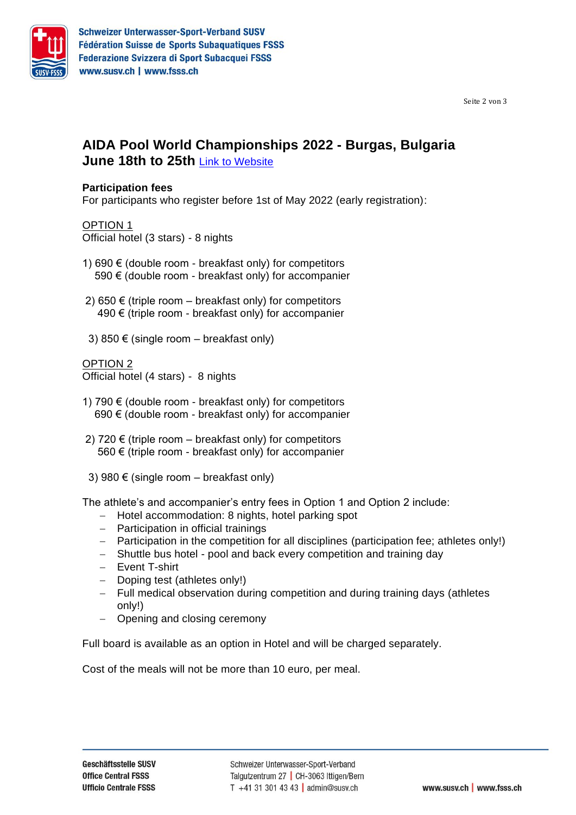

Seite 2 von 3

# **AIDA Pool World Championships 2022 - Burgas, Bulgaria June 18th to 25th** Link [to Website](https://www.aidainternational.org/EventPage/3158)

## **Participation fees**

For participants who register before 1st of May 2022 (early registration):

#### OPTION 1

Official hotel (3 stars) - 8 nights

- 1) 690 € (double room breakfast only) for competitors 590 € (double room - breakfast only) for accompanier
- 2) 650 € (triple room  $-$  breakfast only) for competitors 490 € (triple room - breakfast only) for accompanier
- 3) 850  $\epsilon$  (single room breakfast only)

## OPTION 2

Official hotel (4 stars) - 8 nights

- 1) 790  $€$  (double room breakfast only) for competitors 690 € (double room - breakfast only) for accompanier
- 2) 720 € (triple room  $-$  breakfast only) for competitors 560 € (triple room - breakfast only) for accompanier
- 3) 980  $\epsilon$  (single room breakfast only)

The athlete's and accompanier's entry fees in Option 1 and Option 2 include:

- − Hotel accommodation: 8 nights, hotel parking spot
- − Participation in official trainings
- − Participation in the competition for all disciplines (participation fee; athletes only!)
- − Shuttle bus hotel pool and back every competition and training day
- − Event T-shirt
- − Doping test (athletes only!)
- − Full medical observation during competition and during training days (athletes only!)
- − Opening and closing ceremony

Full board is available as an option in Hotel and will be charged separately.

Cost of the meals will not be more than 10 euro, per meal.